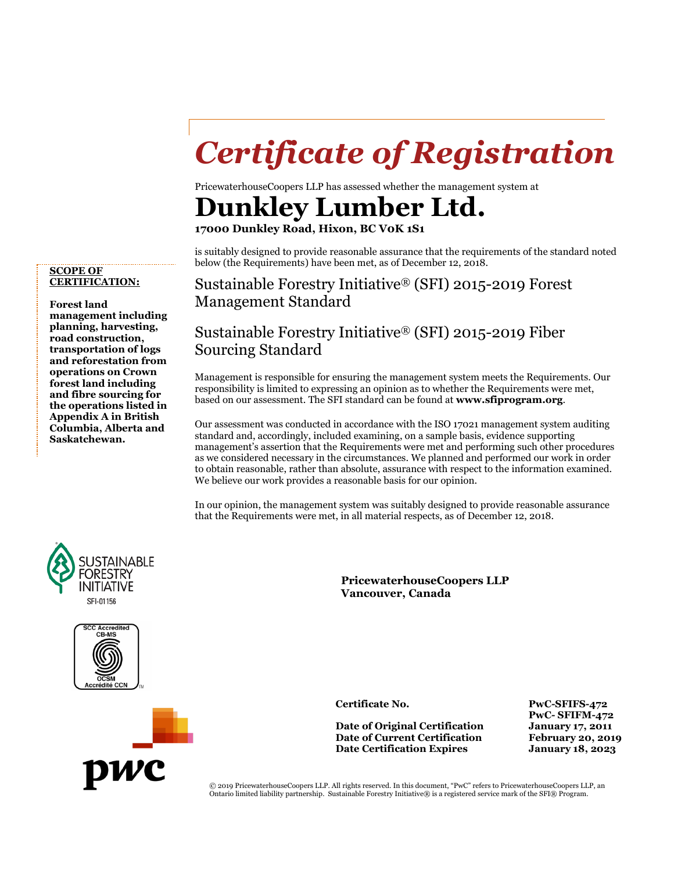## *Certificate of Registration*

PricewaterhouseCoopers LLP has assessed whether the management system at

## **Dunkley Lumber Ltd.**

**17000 Dunkley Road, Hixon, BC V0K 1S1**

is suitably designed to provide reasonable assurance that the requirements of the standard noted below (the Requirements) have been met, as of December 12, 2018.

Sustainable Forestry Initiative® (SFI) 2015-2019 Forest Management Standard

## Sustainable Forestry Initiative® (SFI) 2015-2019 Fiber Sourcing Standard

Management is responsible for ensuring the management system meets the Requirements. Our responsibility is limited to expressing an opinion as to whether the Requirements were met, based on our assessment. The SFI standard can be found at **[www.sfiprogram.org](http://www.sfiprogram.org/)**.

Our assessment was conducted in accordance with the ISO 17021 management system auditing standard and, accordingly, included examining, on a sample basis, evidence supporting management's assertion that the Requirements were met and performing such other procedures as we considered necessary in the circumstances. We planned and performed our work in order to obtain reasonable, rather than absolute, assurance with respect to the information examined. We believe our work provides a reasonable basis for our opinion.

In our opinion, the management system was suitably designed to provide reasonable assurance that the Requirements were met, in all material respects, as of December 12, 2018.

> **PricewaterhouseCoopers LLP Vancouver, Canada**

**Date of Original Certification January 17, 2011 Date of Current Certification Date Certification Expires January 18, 2023**

**Certificate No. PwC-SFIFS-472 PwC- SFIFM-472**

**SCOPE OF CERTIFICATION:**

**Forest land management including planning, harvesting, road construction, transportation of logs and reforestation from operations on Crown forest land including and fibre sourcing for the operations listed in Appendix A in British Columbia, Alberta and Saskatchewan.**







© 2019 PricewaterhouseCoopers LLP. All rights reserved. In this document, "PwC" refers to PricewaterhouseCoopers LLP, an Ontario limited liability partnership. Sustainable Forestry Initiative® is a registered service mark of the SFI® Program.